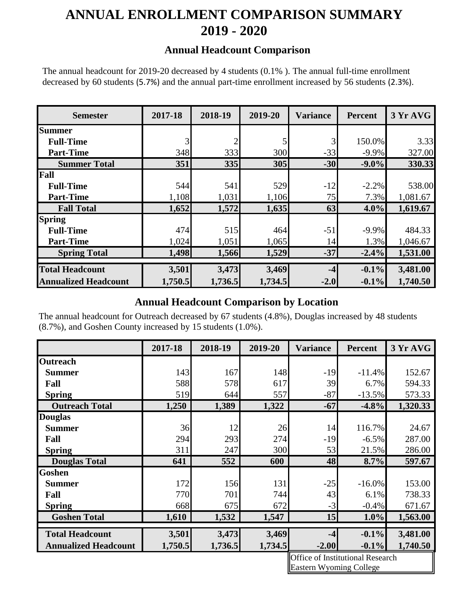# **ANNUAL ENROLLMENT COMPARISON SUMMARY 2019 - 2020**

#### **Annual Headcount Comparison**

The annual headcount for 2019-20 decreased by 4 students (0.1% ). The annual full-time enrollment decreased by 60 students (5.7%) and the annual part-time enrollment increased by 56 students (2.3%).

| <b>Semester</b>             | 2017-18 | 2018-19    | 2019-20 | <b>Variance</b> | <b>Percent</b> | 3 Yr AVG |
|-----------------------------|---------|------------|---------|-----------------|----------------|----------|
| <b>Summer</b>               |         |            |         |                 |                |          |
| <b>Full-Time</b>            | 3       |            | 5       | 3               | 150.0%         | 3.33     |
| <b>Part-Time</b>            | 348     | 333        | 300     | $-33$           | $-9.9\%$       | 327.00   |
| <b>Summer Total</b>         | 351     | <b>335</b> | 305     | $-30$           | $-9.0\%$       | 330.33   |
| Fall                        |         |            |         |                 |                |          |
| <b>Full-Time</b>            | 544     | 541        | 529     | $-12$           | $-2.2%$        | 538.00   |
| <b>Part-Time</b>            | 1,108   | 1,031      | 1,106   | 75              | 7.3%           | 1,081.67 |
| <b>Fall Total</b>           | 1,652   | 1,572      | 1,635   | 63              | $4.0\%$        | 1,619.67 |
| <b>Spring</b>               |         |            |         |                 |                |          |
| <b>Full-Time</b>            | 474     | 515        | 464     | $-51$           | $-9.9\%$       | 484.33   |
| <b>Part-Time</b>            | 1,024   | 1,051      | 1,065   | 14              | 1.3%           | 1,046.67 |
| <b>Spring Total</b>         | 1,498   | 1,566      | 1,529   | $-37$           | $-2.4%$        | 1,531.00 |
|                             |         |            |         |                 |                |          |
| <b>Total Headcount</b>      | 3,501   | 3,473      | 3,469   | $-4$            | $-0.1\%$       | 3,481.00 |
| <b>Annualized Headcount</b> | 1,750.5 | 1,736.5    | 1,734.5 | $-2.0$          | $-0.1\%$       | 1,740.50 |

### **Annual Headcount Comparison by Location**

The annual headcount for Outreach decreased by 67 students (4.8%), Douglas increased by 48 students (8.7%), and Goshen County increased by 15 students (1.0%).

|                             | 2017-18 | 2018-19 | 2019-20 | <b>Variance</b> | Percent   | 3 Yr AVG |
|-----------------------------|---------|---------|---------|-----------------|-----------|----------|
| <b>Outreach</b>             |         |         |         |                 |           |          |
| <b>Summer</b>               | 143     | 167     | 148     | $-19$           | $-11.4%$  | 152.67   |
| Fall                        | 588     | 578     | 617     | 39              | 6.7%      | 594.33   |
| <b>Spring</b>               | 519     | 644     | 557     | $-87$           | $-13.5%$  | 573.33   |
| <b>Outreach Total</b>       | 1,250   | 1,389   | 1,322   | $-67$           | $-4.8%$   | 1,320.33 |
| <b>Douglas</b>              |         |         |         |                 |           |          |
| <b>Summer</b>               | 36      | 12      | 26      | 14              | 116.7%    | 24.67    |
| Fall                        | 294     | 293     | 274     | $-19$           | $-6.5%$   | 287.00   |
| <b>Spring</b>               | 311     | 247     | 300     | 53              | 21.5%     | 286.00   |
| <b>Douglas Total</b>        | 641     | 552     | 600     | 48              | 8.7%      | 597.67   |
| <b>Goshen</b>               |         |         |         |                 |           |          |
| <b>Summer</b>               | 172     | 156     | 131     | $-25$           | $-16.0\%$ | 153.00   |
| Fall                        | 770     | 701     | 744     | 43              | 6.1%      | 738.33   |
| <b>Spring</b>               | 668     | 675     | 672     | $-3$            | $-0.4%$   | 671.67   |
| <b>Goshen Total</b>         | 1,610   | 1,532   | 1,547   | 15              | $1.0\%$   | 1,563.00 |
| <b>Total Headcount</b>      | 3,501   | 3,473   | 3,469   | $-4$            | $-0.1\%$  | 3,481.00 |
|                             |         |         |         |                 |           |          |
| <b>Annualized Headcount</b> | 1,750.5 | 1,736.5 | 1,734.5 | $-2.00$         | $-0.1\%$  | 1,740.50 |

 Eastern Wyoming College Office of Institutional Research

I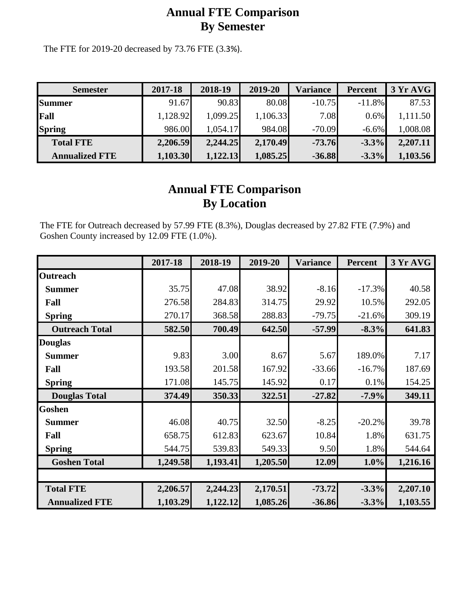## **Annual FTE Comparison By Semester**

The FTE for 2019-20 decreased by 73.76 FTE (3.3%).

| <b>Semester</b>       | 2017-18  | 2018-19  | 2019-20  | Variance | <b>Percent</b> | 3 Yr AVG |
|-----------------------|----------|----------|----------|----------|----------------|----------|
| <b>Summer</b>         | 91.67    | 90.83    | 80.08    | $-10.75$ | $-11.8\%$      | 87.53    |
| Fall                  | 1,128.92 | 1,099.25 | 1,106.33 | 7.08     | $0.6\%$        | 1,111.50 |
| <b>Spring</b>         | 986.00   | 1,054.17 | 984.08   | $-70.09$ | $-6.6\%$       | 1,008.08 |
| <b>Total FTE</b>      | 2,206.59 | 2,244.25 | 2,170.49 | $-73.76$ | $-3.3\%$       | 2,207.11 |
| <b>Annualized FTE</b> | 1,103.30 | 1,122.13 | 1,085.25 | $-36.88$ | $-3.3\%$       | 1,103.56 |

## **Annual FTE Comparison By Location**

The FTE for Outreach decreased by 57.99 FTE (8.3%), Douglas decreased by 27.82 FTE (7.9%) and Goshen County increased by 12.09 FTE (1.0%).

|                       | 2017-18  | 2018-19  | 2019-20  | <b>Variance</b> | <b>Percent</b> | 3 Yr AVG |
|-----------------------|----------|----------|----------|-----------------|----------------|----------|
| <b>Outreach</b>       |          |          |          |                 |                |          |
| <b>Summer</b>         | 35.75    | 47.08    | 38.92    | $-8.16$         | $-17.3%$       | 40.58    |
| Fall                  | 276.58   | 284.83   | 314.75   | 29.92           | 10.5%          | 292.05   |
| <b>Spring</b>         | 270.17   | 368.58   | 288.83   | $-79.75$        | $-21.6%$       | 309.19   |
| <b>Outreach Total</b> | 582.50   | 700.49   | 642.50   | $-57.99$        | $-8.3%$        | 641.83   |
| <b>Douglas</b>        |          |          |          |                 |                |          |
| <b>Summer</b>         | 9.83     | 3.00     | 8.67     | 5.67            | 189.0%         | 7.17     |
| Fall                  | 193.58   | 201.58   | 167.92   | $-33.66$        | $-16.7%$       | 187.69   |
| <b>Spring</b>         | 171.08   | 145.75   | 145.92   | 0.17            | 0.1%           | 154.25   |
| <b>Douglas Total</b>  | 374.49   | 350.33   | 322.51   | $-27.82$        | $-7.9%$        | 349.11   |
| <b>Goshen</b>         |          |          |          |                 |                |          |
| <b>Summer</b>         | 46.08    | 40.75    | 32.50    | $-8.25$         | $-20.2%$       | 39.78    |
| Fall                  | 658.75   | 612.83   | 623.67   | 10.84           | 1.8%           | 631.75   |
| <b>Spring</b>         | 544.75   | 539.83   | 549.33   | 9.50            | 1.8%           | 544.64   |
| <b>Goshen Total</b>   | 1,249.58 | 1,193.41 | 1,205.50 | 12.09           | $1.0\%$        | 1,216.16 |
|                       |          |          |          |                 |                |          |
| <b>Total FTE</b>      | 2,206.57 | 2,244.23 | 2,170.51 | $-73.72$        | $-3.3%$        | 2,207.10 |
| <b>Annualized FTE</b> | 1,103.29 | 1,122.12 | 1,085.26 | $-36.86$        | $-3.3%$        | 1,103.55 |